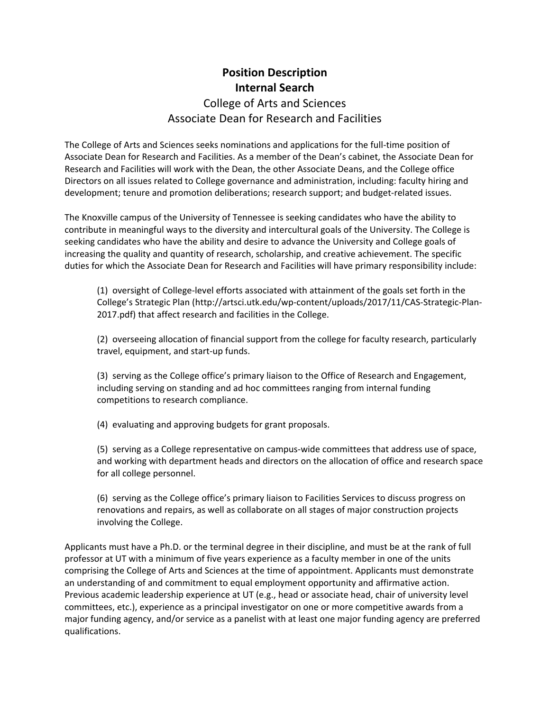## **Position Description Internal Search** College of Arts and Sciences Associate Dean for Research and Facilities

 The College of Arts and Sciences seeks nominations and applications for the full‐time position of Associate Dean for Research and Facilities. As a member of the Dean's cabinet, the Associate Dean for Research and Facilities will work with the Dean, the other Associate Deans, and the College office Directors on all issues related to College governance and administration, including: faculty hiring and development; tenure and promotion deliberations; research support; and budget‐related issues.

 The Knoxville campus of the University of Tennessee is seeking candidates who have the ability to contribute in meaningful ways to the diversity and intercultural goals of the University. The College is seeking candidates who have the ability and desire to advance the University and College goals of increasing the quality and quantity of research, scholarship, and creative achievement. The specific duties for which the Associate Dean for Research and Facilities will have primary responsibility include:

 (1) oversight of College‐level efforts associated with attainment of the goals set forth in the College's Strategic Plan (http://artsci.utk.edu/wp‐content/uploads/2017/11/CAS‐Strategic‐Plan‐ 2017.pdf) that affect research and facilities in the College.

 (2) overseeing allocation of financial support from the college for faculty research, particularly travel, equipment, and start‐up funds.

 (3) serving as the College office's primary liaison to the Office of Research and Engagement, including serving on standing and ad hoc committees ranging from internal funding competitions to research compliance.

(4) evaluating and approving budgets for grant proposals.

 (5) serving as a College representative on campus‐wide committees that address use of space, and working with department heads and directors on the allocation of office and research space for all college personnel.

 (6) serving as the College office's primary liaison to Facilities Services to discuss progress on renovations and repairs, as well as collaborate on all stages of major construction projects involving the College.

 Applicants must have a Ph.D. or the terminal degree in their discipline, and must be at the rank of full professor at UT with a minimum of five years experience as a faculty member in one of the units comprising the College of Arts and Sciences at the time of appointment. Applicants must demonstrate an understanding of and commitment to equal employment opportunity and affirmative action. Previous academic leadership experience at UT (e.g., head or associate head, chair of university level committees, etc.), experience as a principal investigator on one or more competitive awards from a major funding agency, and/or service as a panelist with at least one major funding agency are preferred qualifications.